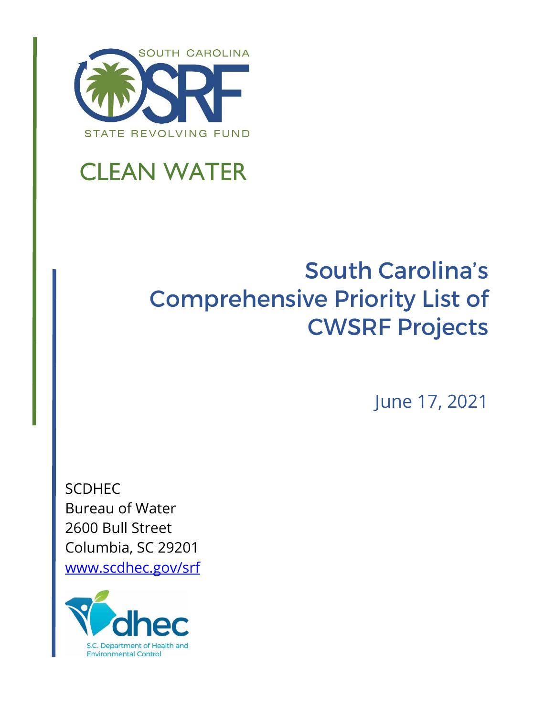

# CLEAN WATER

## South Carolina's Comprehensive Priority List of CWSRF Projects

June 17, 2021

SCDHEC Bureau of Water 2600 Bull Street Columbia, SC 29201 www.scdhec.gov/srf

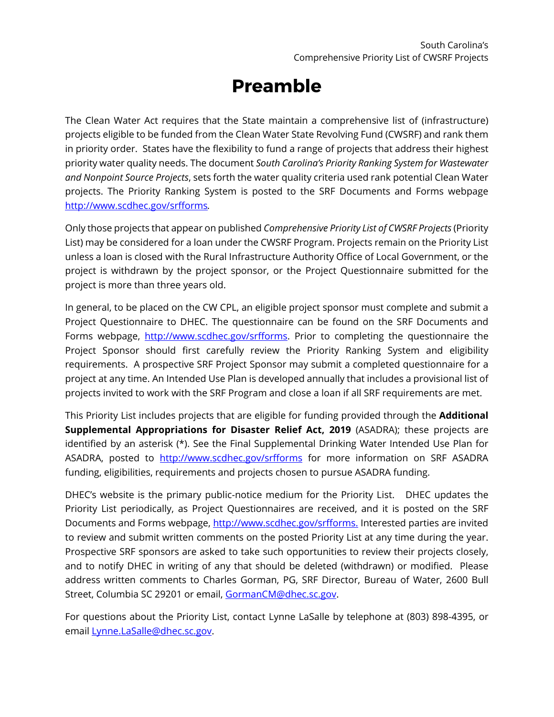### **Preamble**

The Clean Water Act requires that the State maintain a comprehensive list of (infrastructure) projects eligible to be funded from the Clean Water State Revolving Fund (CWSRF) and rank them in priority order. States have the flexibility to fund a range of projects that address their highest priority water quality needs. The document *South Carolina's Priority Ranking System for Wastewater and Nonpoint Source Projects*, sets forth the water quality criteria used rank potential Clean Water projects. The Priority Ranking System is posted to the SRF Documents and Forms webpage http://www.scdhec.gov/srfforms*.*

Only those projects that appear on published *Comprehensive Priority List of CWSRF Projects* (Priority List) may be considered for a loan under the CWSRF Program. Projects remain on the Priority List unless a loan is closed with the Rural Infrastructure Authority Office of Local Government, or the project is withdrawn by the project sponsor, or the Project Questionnaire submitted for the project is more than three years old.

In general, to be placed on the CW CPL, an eligible project sponsor must complete and submit a Project Questionnaire to DHEC. The questionnaire can be found on the SRF Documents and Forms webpage, http://www.scdhec.gov/srfforms. Prior to completing the questionnaire the Project Sponsor should first carefully review the Priority Ranking System and eligibility requirements. A prospective SRF Project Sponsor may submit a completed questionnaire for a project at any time. An Intended Use Plan is developed annually that includes a provisional list of projects invited to work with the SRF Program and close a loan if all SRF requirements are met.

This Priority List includes projects that are eligible for funding provided through the **Additional Supplemental Appropriations for Disaster Relief Act, 2019** (ASADRA); these projects are identified by an asterisk (\*). See the Final Supplemental Drinking Water Intended Use Plan for ASADRA, posted to http://www.scdhec.gov/srfforms for more information on SRF ASADRA funding, eligibilities, requirements and projects chosen to pursue ASADRA funding.

DHEC's website is the primary public-notice medium for the Priority List. DHEC updates the Priority List periodically, as Project Questionnaires are received, and it is posted on the SRF Documents and Forms webpage, http://www.scdhec.gov/srfforms. Interested parties are invited to review and submit written comments on the posted Priority List at any time during the year. Prospective SRF sponsors are asked to take such opportunities to review their projects closely, and to notify DHEC in writing of any that should be deleted (withdrawn) or modified. Please address written comments to Charles Gorman, PG, SRF Director, Bureau of Water, 2600 Bull Street, Columbia SC 29201 or email, GormanCM@dhec.sc.gov.

For questions about the Priority List, contact Lynne LaSalle by telephone at (803) 898-4395, or email Lynne.LaSalle@dhec.sc.gov.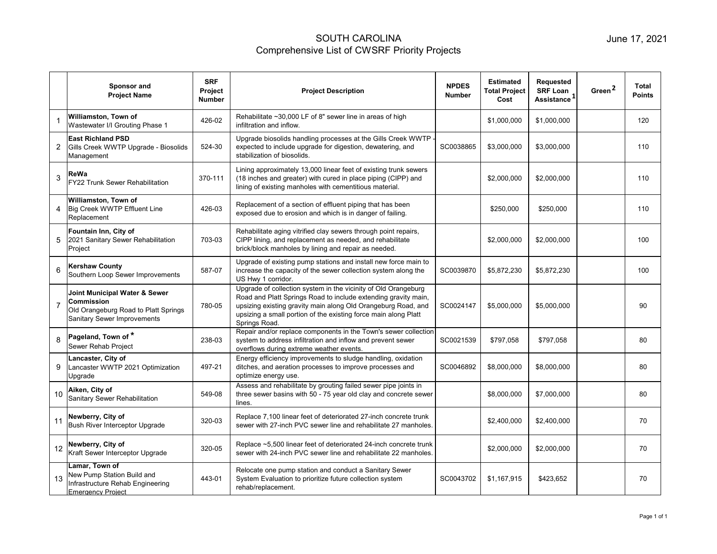|                | <b>Sponsor and</b><br><b>Project Name</b>                                                                                 | <b>SRF</b><br><b>Project</b><br><b>Number</b> | <b>Project Description</b>                                                                                                                                                                                                                                                            | <b>NPDES</b><br><b>Number</b> | <b>Estimated</b><br><b>Total Project</b><br>Cost | Requested<br><b>SRF Loan</b><br>Assistance <sup>1</sup> | Green <sup>2</sup> | Total<br><b>Points</b> |
|----------------|---------------------------------------------------------------------------------------------------------------------------|-----------------------------------------------|---------------------------------------------------------------------------------------------------------------------------------------------------------------------------------------------------------------------------------------------------------------------------------------|-------------------------------|--------------------------------------------------|---------------------------------------------------------|--------------------|------------------------|
|                | Williamston, Town of<br>Wastewater I/I Grouting Phase 1                                                                   | 426-02                                        | Rehabilitate ~30,000 LF of 8" sewer line in areas of high<br>infiltration and inflow.                                                                                                                                                                                                 |                               | \$1,000,000                                      | \$1,000,000                                             |                    | 120                    |
| 2              | <b>East Richland PSD</b><br>Gills Creek WWTP Upgrade - Biosolids<br>Management                                            | 524-30                                        | Upgrade biosolids handling processes at the Gills Creek WWTP<br>expected to include upgrade for digestion, dewatering, and<br>stabilization of biosolids.                                                                                                                             | SC0038865                     | \$3,000,000                                      | \$3,000,000                                             |                    | 110                    |
| 3              | ReWa<br>FY22 Trunk Sewer Rehabilitation                                                                                   | 370-111                                       | Lining approximately 13,000 linear feet of existing trunk sewers<br>(18 inches and greater) with cured in place piping (CIPP) and<br>lining of existing manholes with cementitious material.                                                                                          |                               | \$2,000,000                                      | \$2,000,000                                             |                    | 110                    |
| 4              | Williamston, Town of<br>Big Creek WWTP Effluent Line<br>Replacement                                                       | 426-03                                        | Replacement of a section of effluent piping that has been<br>exposed due to erosion and which is in danger of failing.                                                                                                                                                                |                               | \$250,000                                        | \$250,000                                               |                    | 110                    |
| 5              | Fountain Inn, City of<br>2021 Sanitary Sewer Rehabilitation<br>Project                                                    | 703-03                                        | Rehabilitate aging vitrified clay sewers through point repairs,<br>CIPP lining, and replacement as needed, and rehabilitate<br>brick/block manholes by lining and repair as needed.                                                                                                   |                               | \$2,000,000                                      | \$2,000,000                                             |                    | 100                    |
| 6              | Kershaw County<br>Southern Loop Sewer Improvements                                                                        | 587-07                                        | Upgrade of existing pump stations and install new force main to<br>increase the capacity of the sewer collection system along the<br>US Hwy 1 corridor.                                                                                                                               | SC0039870                     | \$5,872,230                                      | \$5,872,230                                             |                    | 100                    |
| $\overline{7}$ | Joint Municipal Water & Sewer<br>Commission<br>Old Orangeburg Road to Platt Springs<br><b>Sanitary Sewer Improvements</b> | 780-05                                        | Upgrade of collection system in the vicinity of Old Orangeburg<br>Road and Platt Springs Road to include extending gravity main,<br>upsizing existing gravity main along Old Orangeburg Road, and<br>upsizing a small portion of the existing force main along Platt<br>Springs Road. | SC0024147                     | \$5,000,000                                      | \$5,000,000                                             |                    | 90                     |
| 8              | Pageland, Town of *<br>Sewer Rehab Project                                                                                | 238-03                                        | Repair and/or replace components in the Town's sewer collection<br>system to address infiltration and inflow and prevent sewer<br>overflows during extreme weather events.                                                                                                            | SC0021539                     | \$797,058                                        | \$797,058                                               |                    | 80                     |
| 9              | Lancaster, City of<br>Lancaster WWTP 2021 Optimization<br>Upgrade                                                         | 497-21                                        | Energy efficiency improvements to sludge handling, oxidation<br>ditches, and aeration processes to improve processes and<br>optimize energy use.                                                                                                                                      | SC0046892                     | \$8,000,000                                      | \$8,000,000                                             |                    | 80                     |
| 10             | Aiken, City of<br>Sanitary Sewer Rehabilitation                                                                           | 549-08                                        | Assess and rehabilitate by grouting failed sewer pipe joints in<br>three sewer basins with 50 - 75 year old clay and concrete sewer<br>lines.                                                                                                                                         |                               | \$8,000,000                                      | \$7,000,000                                             |                    | 80                     |
| 11             | Newberry, City of<br>Bush River Interceptor Upgrade                                                                       | 320-03                                        | Replace 7,100 linear feet of deteriorated 27-inch concrete trunk<br>sewer with 27-inch PVC sewer line and rehabilitate 27 manholes.                                                                                                                                                   |                               | \$2,400,000                                      | \$2,400,000                                             |                    | 70                     |
| 12             | Newberry, City of<br>Kraft Sewer Interceptor Upgrade                                                                      | 320-05                                        | Replace ~5,500 linear feet of deteriorated 24-inch concrete trunk<br>sewer with 24-inch PVC sewer line and rehabilitate 22 manholes.                                                                                                                                                  |                               | \$2,000,000                                      | \$2,000,000                                             |                    | 70                     |
| 13             | Lamar, Town of<br>New Pump Station Build and<br>Infrastructure Rehab Engineering<br><b>Emergency Project</b>              | 443-01                                        | Relocate one pump station and conduct a Sanitary Sewer<br>System Evaluation to prioritize future collection system<br>rehab/replacement.                                                                                                                                              | SC0043702                     | \$1,167,915                                      | \$423,652                                               |                    | 70                     |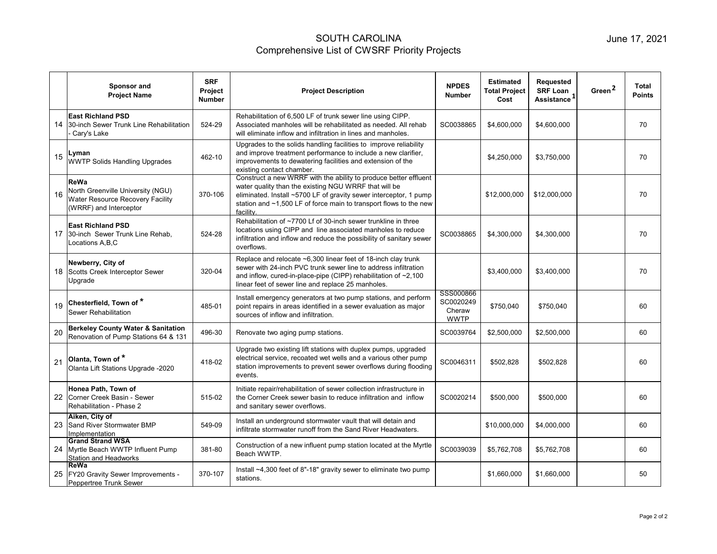|    | Sponsor and<br><b>Project Name</b>                                                                             | <b>SRF</b><br><b>Project</b><br><b>Number</b> | <b>Project Description</b>                                                                                                                                                                                                                                                       | <b>NPDES</b><br><b>Number</b>                   | <b>Estimated</b><br><b>Total Project</b><br>Cost | Requested<br><b>SRF Loan</b><br>Assistance <sup>1</sup> | Green <sup>2</sup> | <b>Total</b><br><b>Points</b> |
|----|----------------------------------------------------------------------------------------------------------------|-----------------------------------------------|----------------------------------------------------------------------------------------------------------------------------------------------------------------------------------------------------------------------------------------------------------------------------------|-------------------------------------------------|--------------------------------------------------|---------------------------------------------------------|--------------------|-------------------------------|
| 14 | <b>East Richland PSD</b><br>30-inch Sewer Trunk Line Rehabilitation<br>Cary's Lake                             | 524-29                                        | Rehabilitation of 6,500 LF of trunk sewer line using CIPP.<br>Associated manholes will be rehabilitated as needed. All rehab<br>will eliminate inflow and infiltration in lines and manholes.                                                                                    | SC0038865                                       | \$4,600,000                                      | \$4,600,000                                             |                    | 70                            |
| 15 | Lyman<br><b>WWTP Solids Handling Upgrades</b>                                                                  | 462-10                                        | Upgrades to the solids handling facilities to improve reliability<br>and improve treatment performance to include a new clarifier,<br>improvements to dewatering facilities and extension of the<br>existing contact chamber.                                                    |                                                 | \$4,250,000                                      | \$3,750,000                                             |                    | 70                            |
| 16 | <b>ReWa</b><br>North Greenville University (NGU)<br>Water Resource Recovery Facility<br>(WRRF) and Interceptor | 370-106                                       | Construct a new WRRF with the ability to produce better effluent<br>water quality than the existing NGU WRRF that will be<br>eliminated. Install ~5700 LF of gravity sewer interceptor, 1 pump<br>station and ~1,500 LF of force main to transport flows to the new<br>facility. |                                                 | \$12,000,000                                     | \$12,000,000                                            |                    | 70                            |
| 17 | <b>East Richland PSD</b><br>30-inch Sewer Trunk Line Rehab,<br>Locations A, B, C                               | 524-28                                        | Rehabilitation of ~7700 Lf of 30-inch sewer trunkline in three<br>locations using CIPP and line associated manholes to reduce<br>infiltration and inflow and reduce the possibility of sanitary sewer<br>overflows.                                                              | SC0038865                                       | \$4,300,000                                      | \$4,300,000                                             |                    | 70                            |
| 18 | Newberry, City of<br>Scotts Creek Interceptor Sewer<br>Upgrade                                                 | 320-04                                        | Replace and relocate ~6,300 linear feet of 18-inch clay trunk<br>sewer with 24-inch PVC trunk sewer line to address infiltration<br>and inflow, cured-in-place-pipe (CIPP) rehabilitation of $\sim$ 2,100<br>linear feet of sewer line and replace 25 manholes.                  |                                                 | \$3,400,000                                      | \$3,400,000                                             |                    | 70                            |
| 19 | Chesterfield, Town of *<br>Sewer Rehabilitation                                                                | 485-01                                        | Install emergency generators at two pump stations, and perform<br>point repairs in areas identified in a sewer evaluation as major<br>sources of inflow and infiltration.                                                                                                        | SSS000866<br>SC0020249<br>Cheraw<br><b>WWTP</b> | \$750,040                                        | \$750,040                                               |                    | 60                            |
| 20 | <b>Berkeley County Water &amp; Sanitation</b><br>Renovation of Pump Stations 64 & 131                          | 496-30                                        | Renovate two aging pump stations.                                                                                                                                                                                                                                                | SC0039764                                       | \$2,500,000                                      | \$2,500,000                                             |                    | 60                            |
| 21 | Olanta, Town of *<br>Olanta Lift Stations Upgrade -2020                                                        | 418-02                                        | Upgrade two existing lift stations with duplex pumps, upgraded<br>electrical service, recoated wet wells and a various other pump<br>station improvements to prevent sewer overflows during flooding<br>events.                                                                  | SC0046311                                       | \$502,828                                        | \$502,828                                               |                    | 60                            |
| 22 | Honea Path, Town of<br>Corner Creek Basin - Sewer<br>Rehabilitation - Phase 2                                  | 515-02                                        | Initiate repair/rehabilitation of sewer collection infrastructure in<br>the Corner Creek sewer basin to reduce infiltration and inflow<br>and sanitary sewer overflows.                                                                                                          | SC0020214                                       | \$500,000                                        | \$500,000                                               |                    | 60                            |
| 23 | Aiken, City of<br>Sand River Stormwater BMP<br>Implementation                                                  | 549-09                                        | Install an underground stormwater vault that will detain and<br>infiltrate stormwater runoff from the Sand River Headwaters.                                                                                                                                                     |                                                 | \$10,000,000                                     | \$4,000,000                                             |                    | 60                            |
| 24 | <b>Grand Strand WSA</b><br>Myrtle Beach WWTP Influent Pump<br><b>Station and Headworks</b>                     | 381-80                                        | Construction of a new influent pump station located at the Myrtle<br>Beach WWTP.                                                                                                                                                                                                 | SC0039039                                       | \$5,762,708                                      | \$5,762,708                                             |                    | 60                            |
| 25 | ReWa<br>FY20 Gravity Sewer Improvements -<br>Peppertree Trunk Sewer                                            | 370-107                                       | Install ~4,300 feet of 8"-18" gravity sewer to eliminate two pump<br>stations.                                                                                                                                                                                                   |                                                 | \$1,660,000                                      | \$1,660,000                                             |                    | 50                            |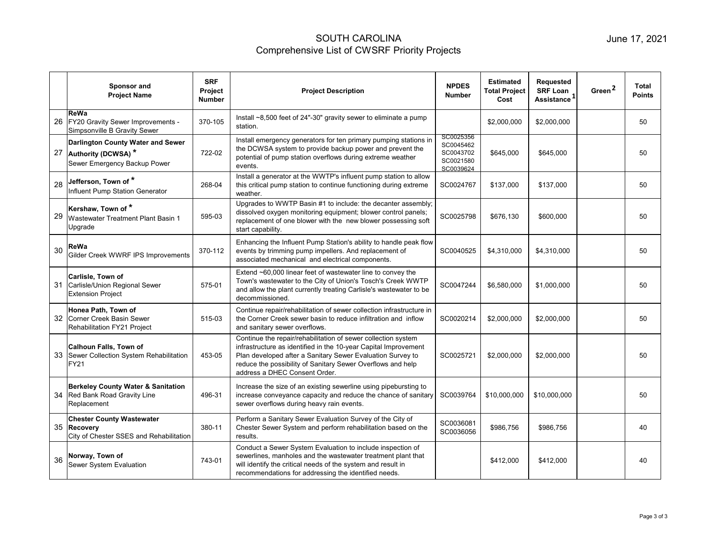|    | Sponsor and<br><b>Project Name</b>                                                                | <b>SRF</b><br><b>Project</b><br><b>Number</b> | <b>Project Description</b>                                                                                                                                                                                                                                                                     | <b>NPDES</b><br><b>Number</b>                                 | <b>Estimated</b><br><b>Total Project</b><br>Cost | Requested<br><b>SRF Loan</b><br>Assistance <sup>1</sup> | Green <sup>2</sup> | Total<br><b>Points</b> |
|----|---------------------------------------------------------------------------------------------------|-----------------------------------------------|------------------------------------------------------------------------------------------------------------------------------------------------------------------------------------------------------------------------------------------------------------------------------------------------|---------------------------------------------------------------|--------------------------------------------------|---------------------------------------------------------|--------------------|------------------------|
| 26 | ReWa<br>FY20 Gravity Sewer Improvements -<br>Simpsonville B Gravity Sewer                         | 370-105                                       | Install ~8,500 feet of 24"-30" gravity sewer to eliminate a pump<br>station.                                                                                                                                                                                                                   |                                                               | \$2,000,000                                      | \$2,000,000                                             |                    | 50                     |
| 27 | Darlington County Water and Sewer<br>Authority (DCWSA) *<br>Sewer Emergency Backup Power          | 722-02                                        | Install emergency generators for ten primary pumping stations in<br>the DCWSA system to provide backup power and prevent the<br>potential of pump station overflows during extreme weather<br>events.                                                                                          | SC0025356<br>SC0045462<br>SC0043702<br>SC0021580<br>SC0039624 | \$645,000                                        | \$645,000                                               |                    | 50                     |
| 28 | Jefferson, Town of $^\star$<br>Influent Pump Station Generator                                    | 268-04                                        | Install a generator at the WWTP's influent pump station to allow<br>this critical pump station to continue functioning during extreme<br>weather.                                                                                                                                              | SC0024767                                                     | \$137.000                                        | \$137,000                                               |                    | 50                     |
| 29 | Kershaw, Town of *<br>Wastewater Treatment Plant Basin 1<br>Upgrade                               | 595-03                                        | Upgrades to WWTP Basin #1 to include: the decanter assembly;<br>dissolved oxygen monitoring equipment; blower control panels;<br>replacement of one blower with the new blower possessing soft<br>start capability.                                                                            | SC0025798                                                     | \$676,130                                        | \$600,000                                               |                    | 50                     |
| 30 | ReWa<br>Gilder Creek WWRF IPS Improvements                                                        | 370-112                                       | Enhancing the Influent Pump Station's ability to handle peak flow<br>events by trimming pump impellers. And replacement of<br>associated mechanical and electrical components.                                                                                                                 | SC0040525                                                     | \$4,310,000                                      | \$4,310,000                                             |                    | 50                     |
| 31 | Carlisle, Town of<br>Carlisle/Union Regional Sewer<br><b>Extension Project</b>                    | 575-01                                        | Extend ~60,000 linear feet of wastewater line to convey the<br>Town's wastewater to the City of Union's Tosch's Creek WWTP<br>and allow the plant currently treating Carlisle's wastewater to be<br>decommissioned.                                                                            | SC0047244                                                     | \$6,580,000                                      | \$1,000,000                                             |                    | 50                     |
| 32 | Honea Path, Town of<br>Corner Creek Basin Sewer<br>Rehabilitation FY21 Project                    | 515-03                                        | Continue repair/rehabilitation of sewer collection infrastructure in<br>the Corner Creek sewer basin to reduce infiltration and inflow<br>and sanitary sewer overflows.                                                                                                                        | SC0020214                                                     | \$2,000,000                                      | \$2,000,000                                             |                    | 50                     |
| 33 | <b>Calhoun Falls, Town of</b><br>Sewer Collection System Rehabilitation<br><b>FY21</b>            | 453-05                                        | Continue the repair/rehabilitation of sewer collection system<br>infrastructure as identified in the 10-year Capital Improvement<br>Plan developed after a Sanitary Sewer Evaluation Survey to<br>reduce the possibility of Sanitary Sewer Overflows and help<br>address a DHEC Consent Order. | SC0025721                                                     | \$2,000,000                                      | \$2,000,000                                             |                    | 50                     |
| 34 | <b>Berkeley County Water &amp; Sanitation</b><br><b>Red Bank Road Gravity Line</b><br>Replacement | 496-31                                        | Increase the size of an existing sewerline using pipebursting to<br>increase conveyance capacity and reduce the chance of sanitary<br>sewer overflows during heavy rain events.                                                                                                                | SC0039764                                                     | \$10,000,000                                     | \$10,000,000                                            |                    | 50                     |
| 35 | <b>Chester County Wastewater</b><br>Recovery<br>City of Chester SSES and Rehabilitation           | 380-11                                        | Perform a Sanitary Sewer Evaluation Survey of the City of<br>Chester Sewer System and perform rehabilitation based on the<br>results.                                                                                                                                                          | SC0036081<br>SC0036056                                        | \$986,756                                        | \$986,756                                               |                    | 40                     |
| 36 | Norway, Town of<br>Sewer System Evaluation                                                        | 743-01                                        | Conduct a Sewer System Evaluation to include inspection of<br>sewerlines, manholes and the wastewater treatment plant that<br>will identify the critical needs of the system and result in<br>recommendations for addressing the identified needs.                                             |                                                               | \$412.000                                        | \$412,000                                               |                    | 40                     |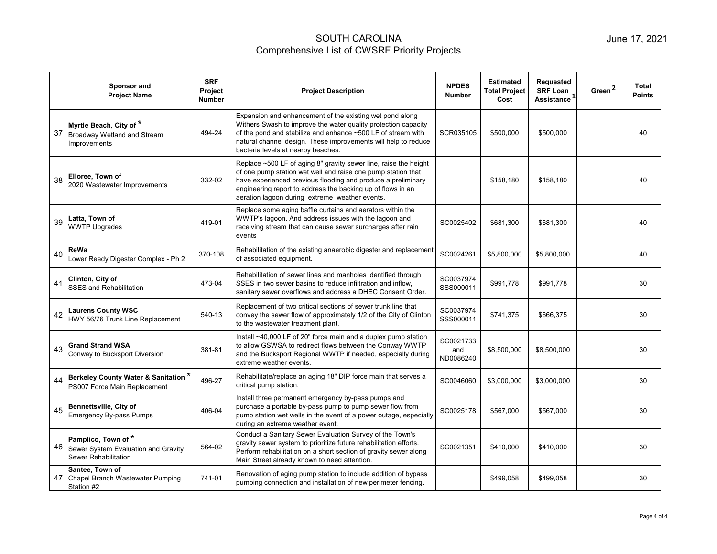|    | Sponsor and<br><b>Project Name</b>                                                | <b>SRF</b><br>Project<br><b>Number</b> | <b>Project Description</b>                                                                                                                                                                                                                                                                                        | <b>NPDES</b><br><b>Number</b> | <b>Estimated</b><br><b>Total Project</b><br>Cost | Requested<br><b>SRF Loan</b><br>Assistance <sup>1</sup> | Green <sup>2</sup> | Total<br><b>Points</b> |
|----|-----------------------------------------------------------------------------------|----------------------------------------|-------------------------------------------------------------------------------------------------------------------------------------------------------------------------------------------------------------------------------------------------------------------------------------------------------------------|-------------------------------|--------------------------------------------------|---------------------------------------------------------|--------------------|------------------------|
| 37 | Myrtle Beach, City of *<br>Broadway Wetland and Stream<br>Improvements            | 494-24                                 | Expansion and enhancement of the existing wet pond along<br>Withers Swash to improve the water quality protection capacity<br>of the pond and stabilize and enhance ~500 LF of stream with<br>natural channel design. These improvements will help to reduce<br>bacteria levels at nearby beaches.                | SCR035105                     | \$500,000                                        | \$500,000                                               |                    | 40                     |
| 38 | Elloree, Town of<br>2020 Wastewater Improvements                                  | 332-02                                 | Replace ~500 LF of aging 8" gravity sewer line, raise the height<br>of one pump station wet well and raise one pump station that<br>have experienced previous flooding and produce a preliminary<br>engineering report to address the backing up of flows in an<br>aeration lagoon during extreme weather events. |                               | \$158,180                                        | \$158,180                                               |                    | 40                     |
| 39 | Latta, Town of<br><b>WWTP Upgrades</b>                                            | 419-01                                 | Replace some aging baffle curtains and aerators within the<br>WWTP's lagoon. And address issues with the lagoon and<br>receiving stream that can cause sewer surcharges after rain<br>events                                                                                                                      | SC0025402                     | \$681.300                                        | \$681,300                                               |                    | 40                     |
| 40 | ReWa<br>Lower Reedy Digester Complex - Ph 2                                       | 370-108                                | Rehabilitation of the existing anaerobic digester and replacement<br>of associated equipment.                                                                                                                                                                                                                     | SC0024261                     | \$5,800,000                                      | \$5,800,000                                             |                    | 40                     |
| 41 | Clinton, City of<br><b>SSES</b> and Rehabilitation                                | 473-04                                 | Rehabilitation of sewer lines and manholes identified through<br>SSES in two sewer basins to reduce infiltration and inflow.<br>sanitary sewer overflows and address a DHEC Consent Order.                                                                                                                        | SC0037974<br>SSS000011        | \$991.778                                        | \$991.778                                               |                    | 30                     |
| 42 | <b>Laurens County WSC</b><br>HWY 56/76 Trunk Line Replacement                     | 540-13                                 | Replacement of two critical sections of sewer trunk line that<br>convey the sewer flow of approximately 1/2 of the City of Clinton<br>to the wastewater treatment plant.                                                                                                                                          | SC0037974<br>SSS000011        | \$741,375                                        | \$666,375                                               |                    | 30                     |
| 43 | <b>Grand Strand WSA</b><br>Conway to Bucksport Diversion                          | 381-81                                 | Install ~40,000 LF of 20" force main and a duplex pump station<br>to allow GSWSA to redirect flows between the Conway WWTP<br>and the Bucksport Regional WWTP if needed, especially during<br>extreme weather events.                                                                                             | SC0021733<br>and<br>ND0086240 | \$8,500,000                                      | \$8,500,000                                             |                    | 30                     |
| 44 | Berkeley County Water & Sanitation <sup>*</sup><br>PS007 Force Main Replacement   | 496-27                                 | Rehabilitate/replace an aging 18" DIP force main that serves a<br>critical pump station.                                                                                                                                                                                                                          | SC0046060                     | \$3,000,000                                      | \$3,000,000                                             |                    | 30                     |
| 45 | Bennettsville, City of<br><b>Emergency By-pass Pumps</b>                          | 406-04                                 | Install three permanent emergency by-pass pumps and<br>purchase a portable by-pass pump to pump sewer flow from<br>pump station wet wells in the event of a power outage, especially<br>during an extreme weather event.                                                                                          | SC0025178                     | \$567,000                                        | \$567,000                                               |                    | 30                     |
| 46 | Pamplico, Town of*<br>Sewer System Evaluation and Gravity<br>Sewer Rehabilitation | 564-02                                 | Conduct a Sanitary Sewer Evaluation Survey of the Town's<br>gravity sewer system to prioritize future rehabilitation efforts.<br>Perform rehabilitation on a short section of gravity sewer along<br>Main Street already known to need attention.                                                                 | SC0021351                     | \$410,000                                        | \$410,000                                               |                    | 30                     |
| 47 | Santee, Town of<br>Chapel Branch Wastewater Pumping<br>Station #2                 | 741-01                                 | Renovation of aging pump station to include addition of bypass<br>pumping connection and installation of new perimeter fencing.                                                                                                                                                                                   |                               | \$499,058                                        | \$499,058                                               |                    | 30                     |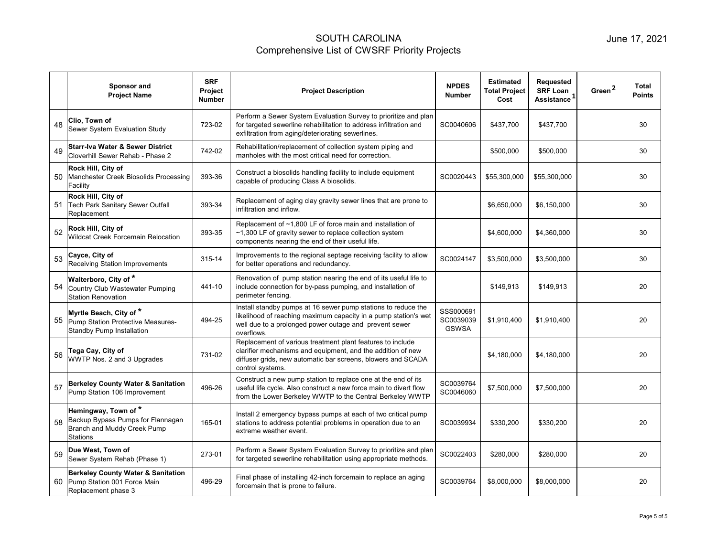|    | Sponsor and<br><b>Project Name</b>                                                                  | <b>SRF</b><br><b>Project</b><br><b>Number</b> | <b>Project Description</b>                                                                                                                                                                                    | <b>NPDES</b><br><b>Number</b>          | <b>Estimated</b><br><b>Total Project</b><br>Cost | <b>Requested</b><br><b>SRF Loan</b><br>Assistance <sup>1</sup> | Green <sup>2</sup> | Total<br><b>Points</b> |
|----|-----------------------------------------------------------------------------------------------------|-----------------------------------------------|---------------------------------------------------------------------------------------------------------------------------------------------------------------------------------------------------------------|----------------------------------------|--------------------------------------------------|----------------------------------------------------------------|--------------------|------------------------|
| 48 | Clio, Town of<br>Sewer System Evaluation Study                                                      | 723-02                                        | Perform a Sewer System Evaluation Survey to prioritize and plan<br>for targeted sewerline rehabilitation to address infiltration and<br>exfiltration from aging/deteriorating sewerlines.                     | SC0040606                              | \$437,700                                        | \$437,700                                                      |                    | 30                     |
| 49 | <b>Starr-Iva Water &amp; Sewer District</b><br>Cloverhill Sewer Rehab - Phase 2                     | 742-02                                        | Rehabilitation/replacement of collection system piping and<br>manholes with the most critical need for correction.                                                                                            |                                        | \$500,000                                        | \$500,000                                                      |                    | 30                     |
| 50 | Rock Hill, City of<br>Manchester Creek Biosolids Processing<br>Facility                             | 393-36                                        | Construct a biosolids handling facility to include equipment<br>capable of producing Class A biosolids.                                                                                                       | SC0020443                              | \$55,300,000                                     | \$55,300,000                                                   |                    | 30                     |
| 51 | Rock Hill, City of<br><b>Tech Park Sanitary Sewer Outfall</b><br>Replacement                        | 393-34                                        | Replacement of aging clay gravity sewer lines that are prone to<br>infiltration and inflow.                                                                                                                   |                                        | \$6,650,000                                      | \$6,150,000                                                    |                    | 30                     |
| 52 | Rock Hill, City of<br>Wildcat Creek Forcemain Relocation                                            | 393-35                                        | Replacement of ~1,800 LF of force main and installation of<br>$~1,300$ LF of gravity sewer to replace collection system<br>components nearing the end of their useful life.                                   |                                        | \$4,600,000                                      | \$4,360,000                                                    |                    | 30                     |
| 53 | Cayce, City of<br>Receiving Station Improvements                                                    | 315-14                                        | Improvements to the regional septage receiving facility to allow<br>for better operations and redundancy.                                                                                                     | SC0024147                              | \$3,500,000                                      | \$3,500,000                                                    |                    | 30                     |
| 54 | Walterboro, City of *<br>Country Club Wastewater Pumping<br><b>Station Renovation</b>               | 441-10                                        | Renovation of pump station nearing the end of its useful life to<br>include connection for by-pass pumping, and installation of<br>perimeter fencing.                                                         |                                        | \$149,913                                        | \$149,913                                                      |                    | 20                     |
| 55 | Myrtle Beach, City of *<br>Pump Station Protective Measures-<br><b>Standby Pump Installation</b>    | 494-25                                        | Install standby pumps at 16 sewer pump stations to reduce the<br>likelihood of reaching maximum capacity in a pump station's wet<br>well due to a prolonged power outage and prevent sewer<br>overflows.      | SSS000691<br>SC0039039<br><b>GSWSA</b> | \$1,910,400                                      | \$1,910,400                                                    |                    | 20                     |
| 56 | Tega Cay, City of<br>WWTP Nos. 2 and 3 Upgrades                                                     | 731-02                                        | Replacement of various treatment plant features to include<br>clarifier mechanisms and equipment, and the addition of new<br>diffuser grids, new automatic bar screens, blowers and SCADA<br>control systems. |                                        | \$4,180,000                                      | \$4,180,000                                                    |                    | 20                     |
| 57 | <b>Berkeley County Water &amp; Sanitation</b><br>Pump Station 106 Improvement                       | 496-26                                        | Construct a new pump station to replace one at the end of its<br>useful life cycle. Also construct a new force main to divert flow<br>from the Lower Berkeley WWTP to the Central Berkeley WWTP               | SC0039764<br>SC0046060                 | \$7,500,000                                      | \$7,500,000                                                    |                    | 20                     |
| 58 | Hemingway, Town of*<br>Backup Bypass Pumps for Flannagan<br>Branch and Muddy Creek Pump<br>Stations | 165-01                                        | Install 2 emergency bypass pumps at each of two critical pump<br>stations to address potential problems in operation due to an<br>extreme weather event.                                                      | SC0039934                              | \$330,200                                        | \$330,200                                                      |                    | 20                     |
| 59 | Due West, Town of<br>Sewer System Rehab (Phase 1)                                                   | 273-01                                        | Perform a Sewer System Evaluation Survey to prioritize and plan<br>for targeted sewerline rehabilitation using appropriate methods.                                                                           | SC0022403                              | \$280,000                                        | \$280,000                                                      |                    | 20                     |
| 60 | <b>Berkeley County Water &amp; Sanitation</b><br>Pump Station 001 Force Main<br>Replacement phase 3 | 496-29                                        | Final phase of installing 42-inch forcemain to replace an aging<br>forcemain that is prone to failure.                                                                                                        | SC0039764                              | \$8,000,000                                      | \$8,000,000                                                    |                    | 20                     |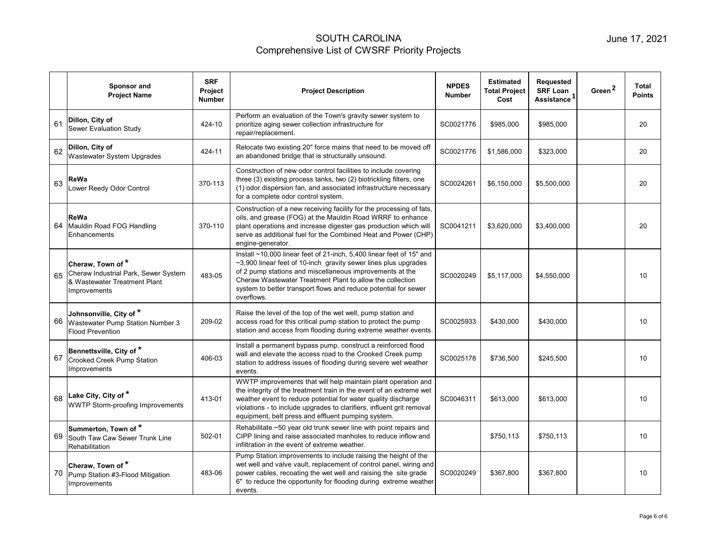|    | Sponsor and<br><b>Project Name</b>                                                                        | <b>SRF</b><br><b>Project</b><br><b>Number</b> | <b>Project Description</b>                                                                                                                                                                                                                                                                                                                        | <b>NPDES</b><br><b>Number</b> | <b>Estimated</b><br><b>Total Project</b><br>Cost | Requested<br><b>SRF Loan</b><br>Assistance <sup>1</sup> | Green <sup>2</sup> | <b>Total</b><br><b>Points</b> |
|----|-----------------------------------------------------------------------------------------------------------|-----------------------------------------------|---------------------------------------------------------------------------------------------------------------------------------------------------------------------------------------------------------------------------------------------------------------------------------------------------------------------------------------------------|-------------------------------|--------------------------------------------------|---------------------------------------------------------|--------------------|-------------------------------|
| 61 | Dillon, City of<br><b>Sewer Evaluation Study</b>                                                          | 424-10                                        | Perform an evaluation of the Town's gravity sewer system to<br>prioritize aging sewer collection infrastructure for<br>repair/replacement.                                                                                                                                                                                                        | SC0021776                     | \$985,000                                        | \$985,000                                               |                    | 20                            |
| 62 | Dillon, City of<br>Wastewater System Upgrades                                                             | 424-11                                        | Relocate two existing 20" force mains that need to be moved off<br>an abandoned bridge that is structurally unsound.                                                                                                                                                                                                                              | SC0021776                     | \$1,586,000                                      | \$323,000                                               |                    | 20                            |
| 63 | ReWa<br>Lower Reedy Odor Control                                                                          | 370-113                                       | Construction of new odor control facilities to include covering<br>three (3) existing process tanks, two (2) biotrickling filters, one<br>(1) odor dispersion fan, and associated infrastructure necessary<br>for a complete odor control system.                                                                                                 | SC0024261                     | \$6,150,000                                      | \$5,500,000                                             |                    | 20                            |
| 64 | ReWa<br>Mauldin Road FOG Handling<br>Enhancements                                                         | 370-110                                       | Construction of a new receiving facility for the processing of fats,<br>oils, and grease (FOG) at the Mauldin Road WRRF to enhance<br>plant operations and increase digester gas production which will<br>serve as additional fuel for the Combined Heat and Power (CHP)<br>engine-generator.                                                     | SC0041211                     | \$3,620,000                                      | \$3,400,000                                             |                    | 20                            |
| 65 | Cheraw, Town of *<br>Cheraw Industrial Park, Sewer System<br>& Wastewater Treatment Plant<br>Improvements | 483-05                                        | Install ~10,000 linear feet of 21-inch, 5,400 linear feet of 15" and<br>~3,900 linear feet of 10-inch gravity sewer lines plus upgrades<br>of 2 pump stations and miscellaneous improvements at the<br>Cheraw Wastewater Treatment Plant to allow the collection<br>system to better transport flows and reduce potential for sewer<br>overflows. | SC0020249                     | \$5,117,000                                      | \$4,550,000                                             |                    | 10                            |
| 66 | Johnsonville, City of *<br>Wastewater Pump Station Number 3<br><b>Flood Prevention</b>                    | 209-02                                        | Raise the level of the top of the wet well, pump station and<br>access road for this critical pump station to protect the pump<br>station and access from flooding during extreme weather events.                                                                                                                                                 | SC0025933                     | \$430,000                                        | \$430,000                                               |                    | 10                            |
| 67 | Bennettsville, City of *<br><b>Crooked Creek Pump Station</b><br>Improvements                             | 406-03                                        | Install a permanent bypass pump, construct a reinforced flood<br>wall and elevate the access road to the Crooked Creek pump<br>station to address issues of flooding during severe wet weather<br>events.                                                                                                                                         | SC0025178                     | \$736,500                                        | \$245,500                                               |                    | 10                            |
| 68 | Lake City, City of *<br>WWTP Storm-proofing Improvements                                                  | 413-01                                        | WWTP improvements that will help maintain plant operation and<br>the integrity of the treatment train in the event of an extreme wet<br>weather event to reduce potential for water quality discharge<br>violations - to include upgrades to clarifiers, influent grit removal<br>equipment, belt press and effluent pumping system.              | SC0046311                     | \$613,000                                        | \$613,000                                               |                    | 10                            |
| 69 | Summerton, Town of *<br>South Taw Caw Sewer Trunk Line<br>Rehabilitation                                  | 502-01                                        | Rehabilitate ~50 year old trunk sewer line with point repairs and<br>CIPP lining and raise associated manholes to reduce inflow and<br>infiltration in the event of extreme weather.                                                                                                                                                              |                               | \$750,113                                        | \$750,113                                               |                    | 10                            |
| 70 | Cheraw, Town of *<br>Pump Station #3-Flood Mitigation<br>Improvements                                     | 483-06                                        | Pump Station improvements to include raising the height of the<br>wet well and valve vault, replacement of control panel, wiring and<br>power cables, recoating the wet well and raising the site grade<br>6" to reduce the opportunity for flooding during extreme weather<br>events.                                                            | SC0020249                     | \$367.800                                        | \$367,800                                               |                    | 10                            |